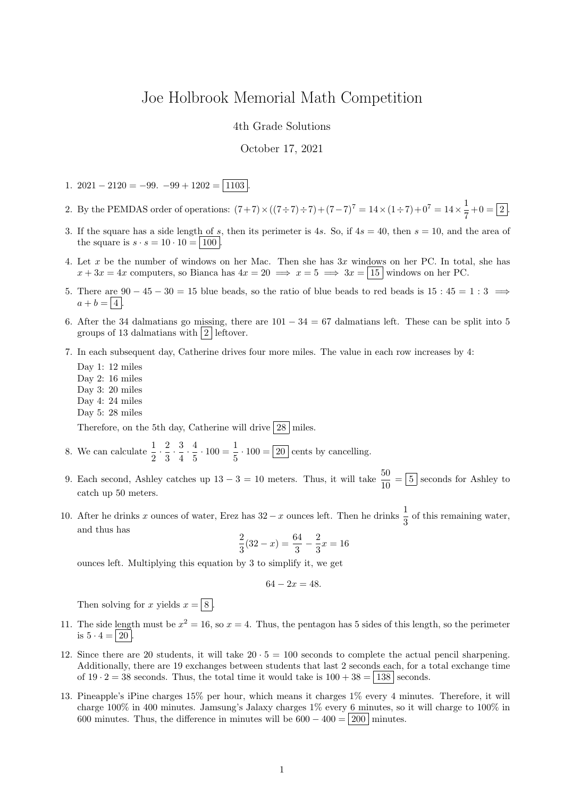## Joe Holbrook Memorial Math Competition

4th Grade Solutions

## October 17, 2021

- 1. 2021 2120 = –99. –99 + 1202 =  $\boxed{1103}$
- 2. By the PEMDAS order of operations:  $(7+7) \times ((7 \div 7) \div 7) + (7-7)^7 = 14 \times (1 \div 7) + 0^7 = 14 \times \frac{1}{7}$  $\frac{1}{7} + 0 = 2$ .
- 3. If the square has a side length of s, then its perimeter is 4s. So, if  $4s = 40$ , then  $s = 10$ , and the area of the square is  $s \cdot s = 10 \cdot 10 = |100|$
- 4. Let x be the number of windows on her Mac. Then she has  $3x$  windows on her PC. In total, she has  $x + 3x = 4x$  computers, so Bianca has  $4x = 20 \implies x = 5 \implies 3x = |15|$  windows on her PC.
- 5. There are  $90 45 30 = 15$  blue beads, so the ratio of blue beads to red beads is  $15 : 45 = 1 : 3 \implies$  $a + b = \boxed{4}$
- 6. After the 34 dalmatians go missing, there are  $101 34 = 67$  dalmatians left. These can be split into 5 groups of 13 dalmatians with  $|2|$  leftover.
- 7. In each subsequent day, Catherine drives four more miles. The value in each row increases by 4:

Day 1: 12 miles Day 2: 16 miles Day 3: 20 miles Day 4: 24 miles Day 5: 28 miles

Therefore, on the 5th day, Catherine will drive  $|28|$  miles.

8. We can calculate  $\frac{1}{2} \cdot \frac{2}{3}$  $\frac{2}{3} \cdot \frac{3}{4}$  $\frac{3}{4} \cdot \frac{4}{5}$  $\frac{4}{5} \cdot 100 = \frac{1}{5}$  $\frac{1}{5} \cdot 100 = 20$  cents by cancelling.

- 9. Each second, Ashley catches up  $13 3 = 10$  meters. Thus, it will take  $\frac{50}{10} = \boxed{5}$  seconds for Ashley to catch up 50 meters.
- 10. After he drinks x ounces of water, Erez has  $32 x$  ounces left. Then he drinks  $\frac{1}{3}$  of this remaining water, and thus has

$$
\frac{2}{3}(32 - x) = \frac{64}{3} - \frac{2}{3}x = 16
$$

ounces left. Multiplying this equation by 3 to simplify it, we get

$$
64 - 2x = 48.
$$

Then solving for x yields  $x = \boxed{8}$ 

- 11. The side length must be  $x^2 = 16$ , so  $x = 4$ . Thus, the pentagon has 5 sides of this length, so the perimeter is  $5 \cdot 4 = | 20 |$
- 12. Since there are 20 students, it will take  $20 \cdot 5 = 100$  seconds to complete the actual pencil sharpening. Additionally, there are 19 exchanges between students that last 2 seconds each, for a total exchange time of  $19 \cdot 2 = 38$  seconds. Thus, the total time it would take is  $100 + 38 = |138|$  seconds.
- 13. Pineapple's iPine charges 15% per hour, which means it charges 1% every 4 minutes. Therefore, it will charge 100% in 400 minutes. Jamsung's Jalaxy charges 1% every 6 minutes, so it will charge to 100% in 600 minutes. Thus, the difference in minutes will be  $600 - 400 = |200|$  minutes.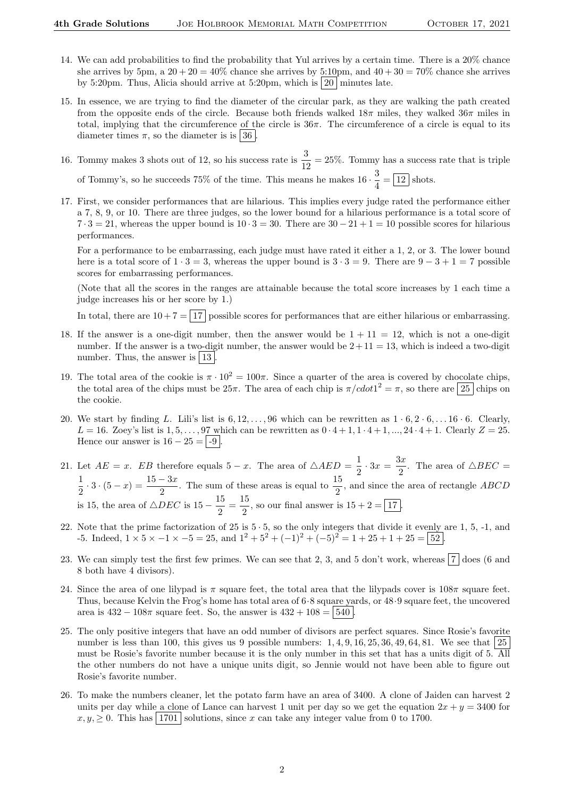- 14. We can add probabilities to find the probability that Yul arrives by a certain time. There is a 20% chance she arrives by 5pm, a  $20 + 20 = 40\%$  chance she arrives by 5:10pm, and  $40 + 30 = 70\%$  chance she arrives by 5:20pm. Thus, Alicia should arrive at 5:20pm, which is  $|20|$  minutes late.
- 15. In essence, we are trying to find the diameter of the circular park, as they are walking the path created from the opposite ends of the circle. Because both friends walked  $18\pi$  miles, they walked  $36\pi$  miles in total, implying that the circumference of the circle is  $36\pi$ . The circumference of a circle is equal to its diameter times  $\pi$ , so the diameter is is 36.
- 16. Tommy makes 3 shots out of 12, so his success rate is  $\frac{3}{12} = 25\%$ . Tommy has a success rate that is triple of Tommy's, so he succeeds 75% of the time. This means he makes  $16 \cdot \frac{3}{4}$  $\frac{6}{4} = \boxed{12}$  shots.

17. First, we consider performances that are hilarious. This implies every judge rated the performance either a 7, 8, 9, or 10. There are three judges, so the lower bound for a hilarious performance is a total score of  $7 \cdot 3 = 21$ , whereas the upper bound is  $10 \cdot 3 = 30$ . There are  $30 - 21 + 1 = 10$  possible scores for hilarious performances.

For a performance to be embarrassing, each judge must have rated it either a 1, 2, or 3. The lower bound here is a total score of  $1 \cdot 3 = 3$ , whereas the upper bound is  $3 \cdot 3 = 9$ . There are  $9 - 3 + 1 = 7$  possible scores for embarrassing performances.

(Note that all the scores in the ranges are attainable because the total score increases by 1 each time a judge increases his or her score by 1.)

In total, there are  $10 + 7 = 17$  possible scores for performances that are either hilarious or embarrassing.

- 18. If the answer is a one-digit number, then the answer would be  $1 + 11 = 12$ , which is not a one-digit number. If the answer is a two-digit number, the answer would be  $2+11=13$ , which is indeed a two-digit number. Thus, the answer is  $\boxed{13}$
- 19. The total area of the cookie is  $\pi \cdot 10^2 = 100\pi$ . Since a quarter of the area is covered by chocolate chips, the total area of the chips must be  $25\pi$ . The area of each chip is  $\pi/cdot1^2 = \pi$ , so there are  $\boxed{25}$  chips on the cookie.
- 20. We start by finding L. Lili's list is  $6, 12, \ldots, 96$  which can be rewritten as  $1 \cdot 6, 2 \cdot 6, \ldots 16 \cdot 6$ . Clearly,  $L = 16$ . Zoey's list is  $1, 5, \ldots, 97$  which can be rewritten as  $0 \cdot 4 + 1, 1 \cdot 4 + 1, \ldots, 24 \cdot 4 + 1$ . Clearly  $Z = 25$ . Hence our answer is  $16 - 25 = -9$ .
- 21. Let  $AE = x$ . EB therefore equals  $5 x$ . The area of  $\triangle AED = \frac{1}{2}$  $rac{1}{2} \cdot 3x = \frac{3x}{2}$  $\frac{\pi}{2}$ . The area of  $\triangle BEC =$ 1  $\frac{1}{2} \cdot 3 \cdot (5 - x) = \frac{15 - 3x}{2}$ . The sum of these areas is equal to  $\frac{15}{2}$ , and since the area of rectangle *ABCD* is 15, the area of  $\triangle DEC$  is  $15 - \frac{15}{9}$  $\frac{15}{2} = \frac{15}{2}$  $\frac{20}{2}$ , so our final answer is  $15 + 2 = 17$ .
- 22. Note that the prime factorization of  $25$  is  $5 \cdot 5$ , so the only integers that divide it evenly are 1, 5, -1, and -5. Indeed,  $1 \times 5 \times -1 \times -5 = 25$ , and  $1^2 + 5^2 + (-1)^2 + (-5)^2 = 1 + 25 + 1 + 25 = 52$ .
- 23. We can simply test the first few primes. We can see that 2, 3, and 5 don't work, whereas  $\boxed{7}$  does (6 and 8 both have 4 divisors).
- 24. Since the area of one lilypad is  $\pi$  square feet, the total area that the lilypads cover is  $108\pi$  square feet. Thus, because Kelvin the Frog's home has total area of 6·8 square yards, or 48·9 square feet, the uncovered area is  $432 - 108\pi$  square feet. So, the answer is  $432 + 108 = |540|$
- 25. The only positive integers that have an odd number of divisors are perfect squares. Since Rosie's favorite number is less than 100, this gives us 9 possible numbers:  $1, 4, 9, 16, 25, 36, 49, 64, 81$ . We see that  $25$ must be Rosie's favorite number because it is the only number in this set that has a units digit of 5. All the other numbers do not have a unique units digit, so Jennie would not have been able to figure out Rosie's favorite number.
- 26. To make the numbers cleaner, let the potato farm have an area of 3400. A clone of Jaiden can harvest 2 units per day while a clone of Lance can harvest 1 unit per day so we get the equation  $2x + y = 3400$  for  $x, y, \geq 0$ . This has 1701 solutions, since x can take any integer value from 0 to 1700.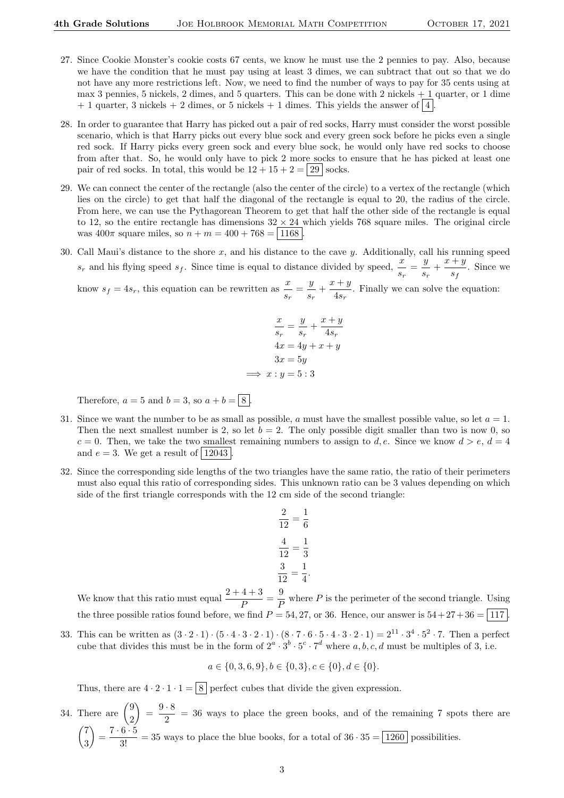- 27. Since Cookie Monster's cookie costs 67 cents, we know he must use the 2 pennies to pay. Also, because we have the condition that he must pay using at least 3 dimes, we can subtract that out so that we do not have any more restrictions left. Now, we need to find the number of ways to pay for 35 cents using at max 3 pennies, 5 nickels, 2 dimes, and 5 quarters. This can be done with 2 nickels + 1 quarter, or 1 dime  $+ 1$  quarter, 3 nickels  $+ 2$  dimes, or 5 nickels  $+ 1$  dimes. This yields the answer of  $\vert 4 \vert$
- 28. In order to guarantee that Harry has picked out a pair of red socks, Harry must consider the worst possible scenario, which is that Harry picks out every blue sock and every green sock before he picks even a single red sock. If Harry picks every green sock and every blue sock, he would only have red socks to choose from after that. So, he would only have to pick 2 more socks to ensure that he has picked at least one pair of red socks. In total, this would be  $12 + 15 + 2 = 29$  socks.
- 29. We can connect the center of the rectangle (also the center of the circle) to a vertex of the rectangle (which lies on the circle) to get that half the diagonal of the rectangle is equal to 20, the radius of the circle. From here, we can use the Pythagorean Theorem to get that half the other side of the rectangle is equal to 12, so the entire rectangle has dimensions  $32 \times 24$  which yields 768 square miles. The original circle was  $400\pi$  square miles, so  $n + m = 400 + 768 = |1168|$
- 30. Call Maui's distance to the shore  $x$ , and his distance to the cave  $y$ . Additionally, call his running speed  $s_r$  and his flying speed  $s_f$ . Since time is equal to distance divided by speed,  $\frac{x}{s_r} = \frac{y}{s_i}$  $\frac{y}{s_r} + \frac{x+y}{s_f}$  $\frac{1}{s_f}$ . Since we

know  $s_f = 4s_r$ , this equation can be rewritten as  $\frac{x}{s_r} = \frac{y}{s_r}$  $\frac{y}{s_r} + \frac{x+y}{4s_r}$  $\frac{4s}{4s_r}$ . Finally we can solve the equation:

$$
\frac{x}{s_r} = \frac{y}{s_r} + \frac{x+y}{4s_r}
$$

$$
4x = 4y + x + y
$$

$$
3x = 5y
$$

$$
\implies x : y = 5 : 3
$$

Therefore,  $a = 5$  and  $b = 3$ , so  $a + b = \boxed{8}$ .

- 31. Since we want the number to be as small as possible, a must have the smallest possible value, so let  $a = 1$ . Then the next smallest number is 2, so let  $b = 2$ . The only possible digit smaller than two is now 0, so  $c = 0$ . Then, we take the two smallest remaining numbers to assign to d, e. Since we know  $d > e$ ,  $d = 4$ and  $e = 3$ . We get a result of 12043
- 32. Since the corresponding side lengths of the two triangles have the same ratio, the ratio of their perimeters must also equal this ratio of corresponding sides. This unknown ratio can be 3 values depending on which side of the first triangle corresponds with the 12 cm side of the second triangle:

$$
\frac{2}{12} = \frac{1}{6}
$$

$$
\frac{4}{12} = \frac{1}{3}
$$

$$
\frac{3}{12} = \frac{1}{4}
$$

We know that this ratio must equal  $\frac{2+4+3}{P} = \frac{9}{F}$  $\frac{\tilde{\rho}}{P}$  where P is the perimeter of the second triangle. Using the three possible ratios found before, we find  $P = 54, 27,$  or 36. Hence, our answer is  $54 + 27 + 36 = |117|$ 

33. This can be written as  $(3 \cdot 2 \cdot 1) \cdot (5 \cdot 4 \cdot 3 \cdot 2 \cdot 1) \cdot (8 \cdot 7 \cdot 6 \cdot 5 \cdot 4 \cdot 3 \cdot 2 \cdot 1) = 2^{11} \cdot 3^4 \cdot 5^2 \cdot 7$ . Then a perfect cube that divides this must be in the form of  $2^a \cdot 3^b \cdot 5^c \cdot 7^d$  where  $a, b, c, d$  must be multiples of 3, i.e.

$$
a \in \{0, 3, 6, 9\}, b \in \{0, 3\}, c \in \{0\}, d \in \{0\}.
$$

Thus, there are  $4 \cdot 2 \cdot 1 \cdot 1 = 8$  perfect cubes that divide the given expression.

34. There are  $\binom{9}{8}$ 2  $= \frac{9 \cdot 8}{8}$  $\frac{0}{2}$  = 36 ways to place the green books, and of the remaining 7 spots there are  $(7)$ 3  $\left( \frac{7 \cdot 6 \cdot 5}{3!} \right) = \frac{7 \cdot 6 \cdot 5}{3!} = 35$  ways to place the blue books, for a total of  $36 \cdot 35 = 1260$  possibilities.